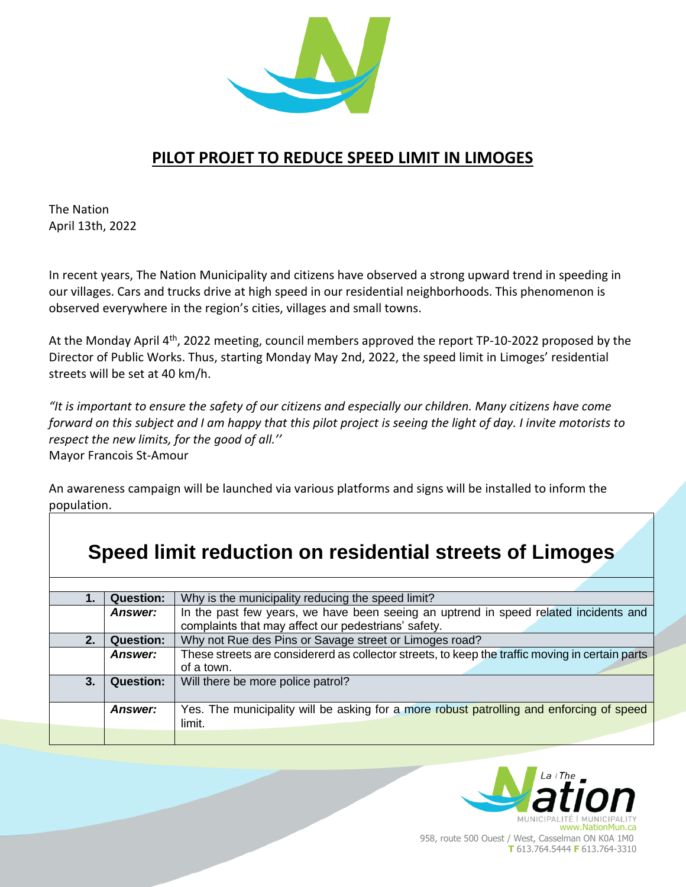

## **PILOT PROJET TO REDUCE SPEED LIMIT IN LIMOGES**

The Nation April 13th, 2022

In recent years, The Nation Municipality and citizens have observed a strong upward trend in speeding in our villages. Cars and trucks drive at high speed in our residential neighborhoods. This phenomenon is observed everywhere in the region's cities, villages and small towns.

At the Monday April 4<sup>th</sup>, 2022 meeting, council members approved the report TP-10-2022 proposed by the Director of Public Works. Thus, starting Monday May 2nd, 2022, the speed limit in Limoges' residential streets will be set at 40 km/h.

*"It is important to ensure the safety of our citizens and especially our children. Many citizens have come forward on this subject and I am happy that this pilot project is seeing the light of day. I invite motorists to respect the new limits, for the good of all.''* Mayor Francois St-Amour

An awareness campaign will be launched via various platforms and signs will be installed to inform the population.

| Speed limit reduction on residential streets of Limoges |                  |                                                                                                                                             |  |
|---------------------------------------------------------|------------------|---------------------------------------------------------------------------------------------------------------------------------------------|--|
| $\mathbf 1$ .                                           | <b>Question:</b> | Why is the municipality reducing the speed limit?                                                                                           |  |
|                                                         | <b>Answer:</b>   | In the past few years, we have been seeing an uptrend in speed related incidents and<br>complaints that may affect our pedestrians' safety. |  |
| 2.                                                      | <b>Question:</b> | Why not Rue des Pins or Savage street or Limoges road?                                                                                      |  |
|                                                         | <b>Answer:</b>   | These streets are considererd as collector streets, to keep the traffic moving in certain parts<br>of a town.                               |  |
| 3.                                                      | <b>Question:</b> | Will there be more police patrol?                                                                                                           |  |
|                                                         | <b>Answer:</b>   | Yes. The municipality will be asking for a more robust patrolling and enforcing of speed<br>limit.                                          |  |